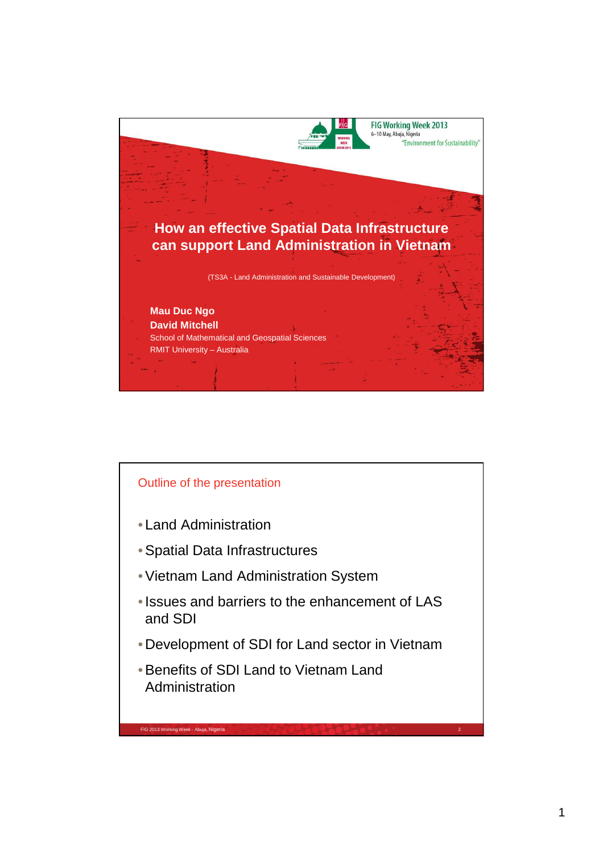

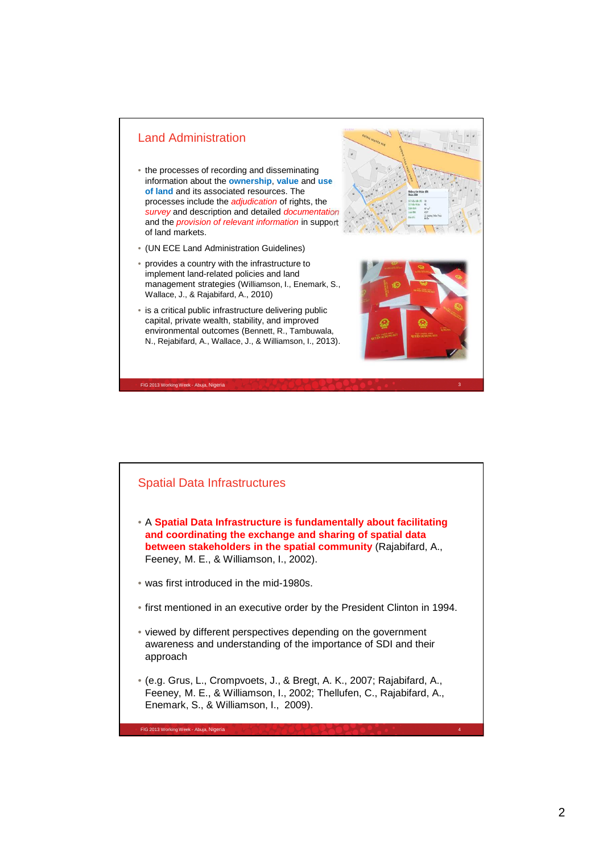

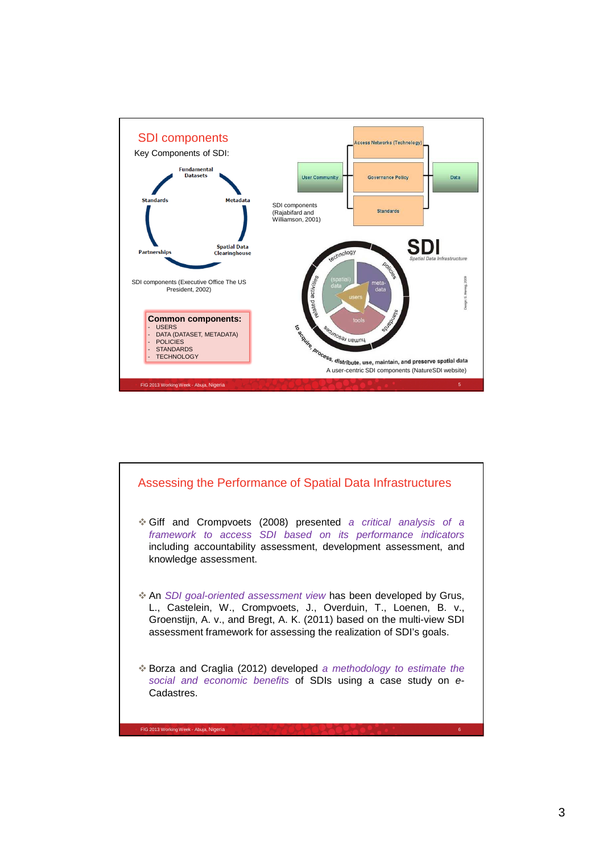

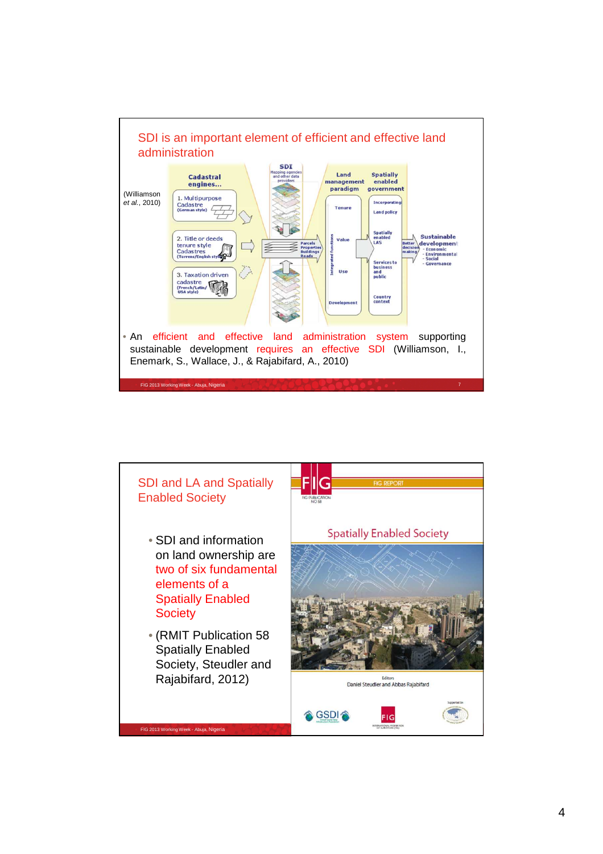

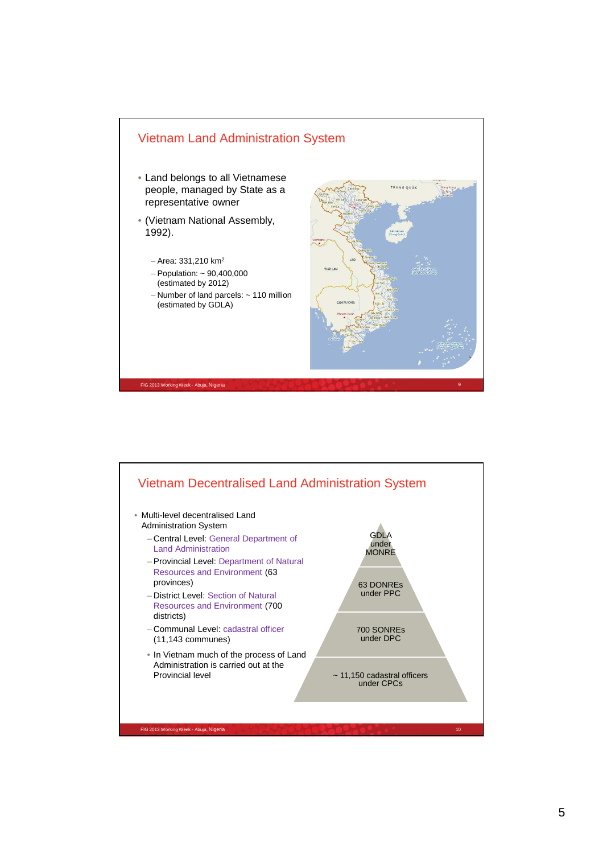

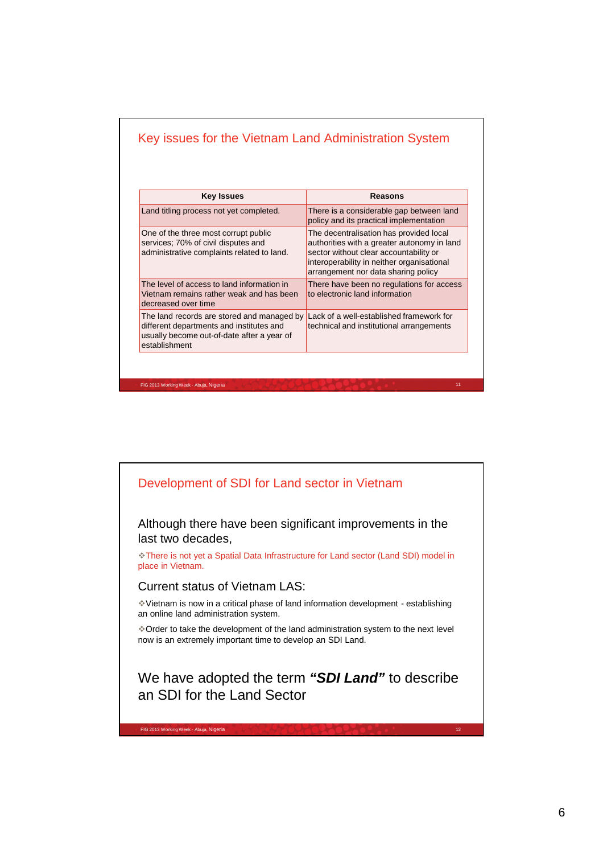| <b>Key Issues</b>                                                                                                                                     | Reasons                                                                                                                                                                                                               |
|-------------------------------------------------------------------------------------------------------------------------------------------------------|-----------------------------------------------------------------------------------------------------------------------------------------------------------------------------------------------------------------------|
| Land titling process not yet completed.                                                                                                               | There is a considerable gap between land<br>policy and its practical implementation                                                                                                                                   |
| One of the three most corrupt public<br>services; 70% of civil disputes and<br>administrative complaints related to land.                             | The decentralisation has provided local<br>authorities with a greater autonomy in land<br>sector without clear accountability or<br>interoperability in neither organisational<br>arrangement nor data sharing policy |
| The level of access to land information in<br>Vietnam remains rather weak and has been<br>decreased over time                                         | There have been no regulations for access<br>to electronic land information                                                                                                                                           |
| The land records are stored and managed by<br>different departments and institutes and<br>usually become out-of-date after a year of<br>establishment | Lack of a well-established framework for<br>technical and institutional arrangements                                                                                                                                  |

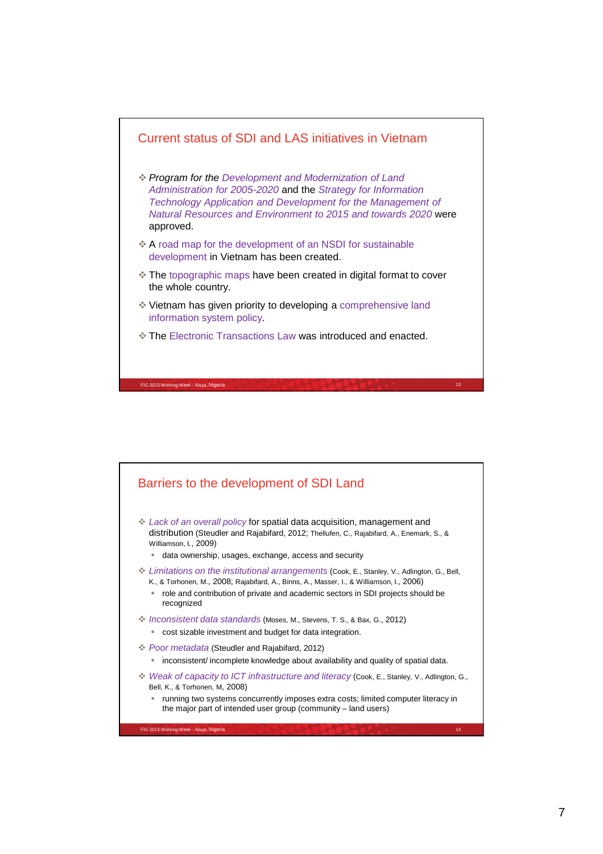

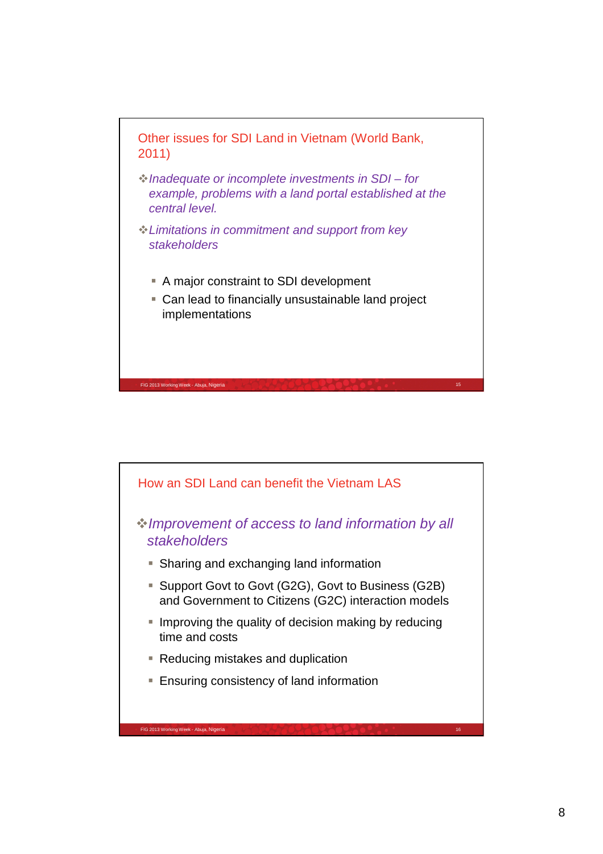

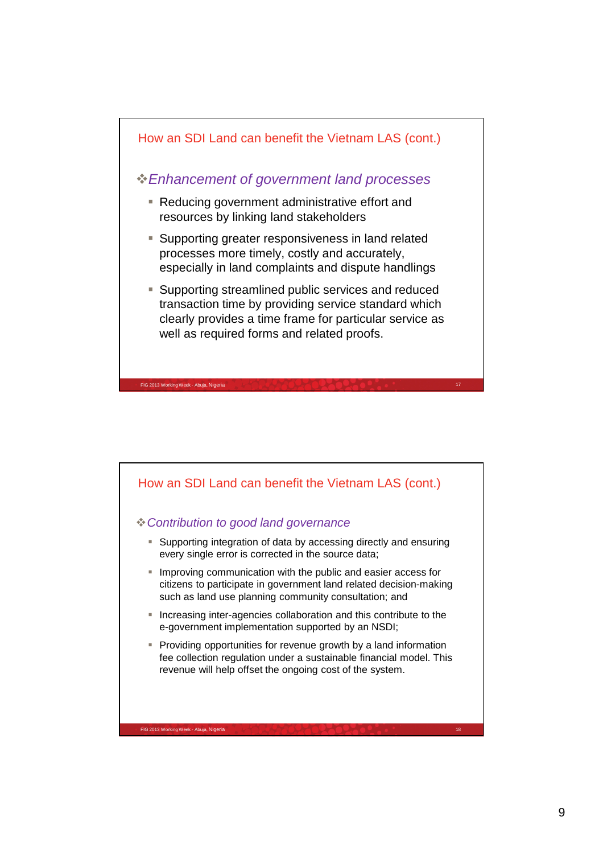

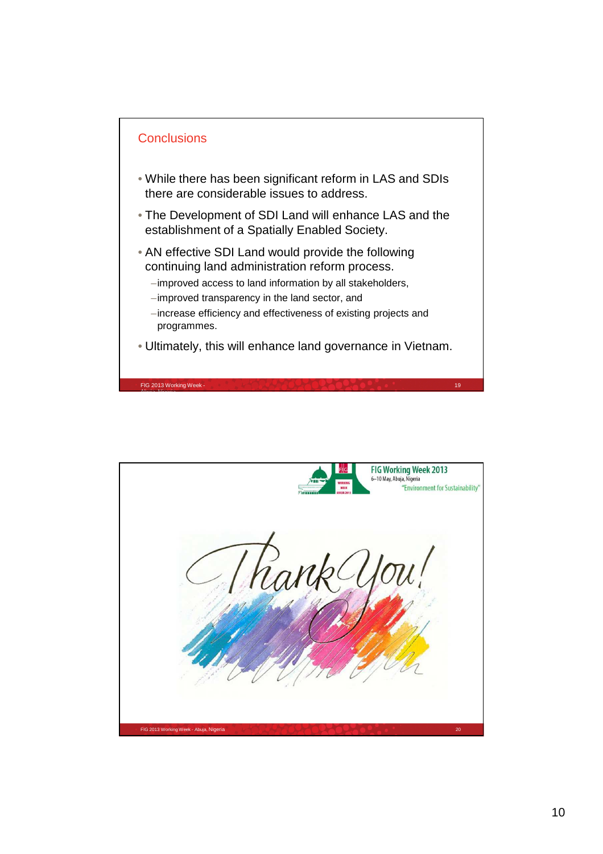